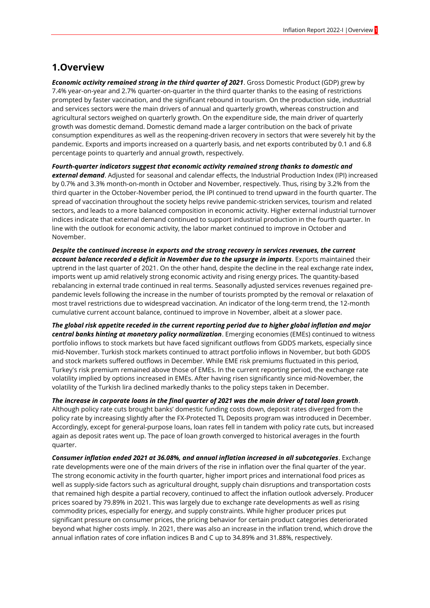#### **1.Overview**

*Economic activity remained strong in the third quarter of 2021*. Gross Domestic Product (GDP) grew by 7.4% year-on-year and 2.7% quarter-on-quarter in the third quarter thanks to the easing of restrictions prompted by faster vaccination, and the significant rebound in tourism. On the production side, industrial and services sectors were the main drivers of annual and quarterly growth, whereas construction and agricultural sectors weighed on quarterly growth. On the expenditure side, the main driver of quarterly growth was domestic demand. Domestic demand made a larger contribution on the back of private consumption expenditures as well as the reopening-driven recovery in sectors that were severely hit by the pandemic. Exports and imports increased on a quarterly basis, and net exports contributed by 0.1 and 6.8 percentage points to quarterly and annual growth, respectively.

*Fourth-quarter indicators suggest that economic activity remained strong thanks to domestic and external demand*. Adjusted for seasonal and calendar effects, the Industrial Production Index (IPI) increased by 0.7% and 3.3% month-on-month in October and November, respectively. Thus, rising by 3.2% from the third quarter in the October-November period, the IPI continued to trend upward in the fourth quarter. The spread of vaccination throughout the society helps revive pandemic-stricken services, tourism and related sectors, and leads to a more balanced composition in economic activity. Higher external industrial turnover indices indicate that external demand continued to support industrial production in the fourth quarter. In line with the outlook for economic activity, the labor market continued to improve in October and November.

*Despite the continued increase in exports and the strong recovery in services revenues, the current account balance recorded a deficit in November due to the upsurge in imports*. Exports maintained their uptrend in the last quarter of 2021. On the other hand, despite the decline in the real exchange rate index, imports went up amid relatively strong economic activity and rising energy prices. The quantity-based rebalancing in external trade continued in real terms. Seasonally adjusted services revenues regained prepandemic levels following the increase in the number of tourists prompted by the removal or relaxation of most travel restrictions due to widespread vaccination. An indicator of the long-term trend, the 12-month cumulative current account balance, continued to improve in November, albeit at a slower pace.

*The global risk appetite receded in the current reporting period due to higher global inflation and major central banks hinting at monetary policy normalization*. Emerging economies (EMEs) continued to witness portfolio inflows to stock markets but have faced significant outflows from GDDS markets, especially since mid-November. Turkish stock markets continued to attract portfolio inflows in November, but both GDDS and stock markets suffered outflows in December. While EME risk premiums fluctuated in this period, Turkey's risk premium remained above those of EMEs. In the current reporting period, the exchange rate volatility implied by options increased in EMEs. After having risen significantly since mid-November, the volatility of the Turkish lira declined markedly thanks to the policy steps taken in December.

*The increase in corporate loans in the final quarter of 2021 was the main driver of total loan growth*. Although policy rate cuts brought banks' domestic funding costs down, deposit rates diverged from the policy rate by increasing slightly after the FX-Protected TL Deposits program was introduced in December. Accordingly, except for general-purpose loans, loan rates fell in tandem with policy rate cuts, but increased again as deposit rates went up. The pace of loan growth converged to historical averages in the fourth quarter.

*Consumer inflation ended 2021 at 36.08%, and annual inflation increased in all subcategories*. Exchange rate developments were one of the main drivers of the rise in inflation over the final quarter of the year. The strong economic activity in the fourth quarter, higher import prices and international food prices as well as supply-side factors such as agricultural drought, supply chain disruptions and transportation costs that remained high despite a partial recovery, continued to affect the inflation outlook adversely. Producer prices soared by 79.89% in 2021. This was largely due to exchange rate developments as well as rising commodity prices, especially for energy, and supply constraints. While higher producer prices put significant pressure on consumer prices, the pricing behavior for certain product categories deteriorated beyond what higher costs imply. In 2021, there was also an increase in the inflation trend, which drove the annual inflation rates of core inflation indices B and C up to 34.89% and 31.88%, respectively.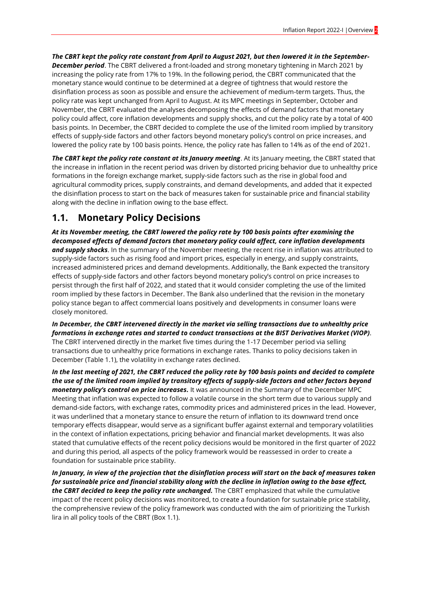*The CBRT kept the policy rate constant from April to August 2021, but then lowered it in the September-December period*. The CBRT delivered a front-loaded and strong monetary tightening in March 2021 by increasing the policy rate from 17% to 19%. In the following period, the CBRT communicated that the monetary stance would continue to be determined at a degree of tightness that would restore the disinflation process as soon as possible and ensure the achievement of medium-term targets. Thus, the policy rate was kept unchanged from April to August. At its MPC meetings in September, October and November, the CBRT evaluated the analyses decomposing the effects of demand factors that monetary policy could affect, core inflation developments and supply shocks, and cut the policy rate by a total of 400 basis points. In December, the CBRT decided to complete the use of the limited room implied by transitory effects of supply-side factors and other factors beyond monetary policy's control on price increases, and lowered the policy rate by 100 basis points. Hence, the policy rate has fallen to 14% as of the end of 2021.

*The CBRT kept the policy rate constant at its January meeting*. At its January meeting, the CBRT stated that the increase in inflation in the recent period was driven by distorted pricing behavior due to unhealthy price formations in the foreign exchange market, supply-side factors such as the rise in global food and agricultural commodity prices, supply constraints, and demand developments, and added that it expected the disinflation process to start on the back of measures taken for sustainable price and financial stability along with the decline in inflation owing to the base effect.

### **1.1. Monetary Policy Decisions**

*At its November meeting, the CBRT lowered the policy rate by 100 basis points after examining the decomposed effects of demand factors that monetary policy could affect, core inflation developments and supply shocks*. In the summary of the November meeting, the recent rise in inflation was attributed to supply-side factors such as rising food and import prices, especially in energy, and supply constraints, increased administered prices and demand developments. Additionally, the Bank expected the transitory effects of supply-side factors and other factors beyond monetary policy's control on price increases to persist through the first half of 2022, and stated that it would consider completing the use of the limited room implied by these factors in December. The Bank also underlined that the revision in the monetary policy stance began to affect commercial loans positively and developments in consumer loans were closely monitored.

*In December, the CBRT intervened directly in the market via selling transactions due to unhealthy price formations in exchange rates and started to conduct transactions at the BIST Derivatives Market (VIOP)*. The CBRT intervened directly in the market five times during the 1-17 December period via selling transactions due to unhealthy price formations in exchange rates. Thanks to policy decisions taken in December (Table 1.1), the volatility in exchange rates declined.

*In the last meeting of 2021, the CBRT reduced the policy rate by 100 basis points and decided to complete the use of the limited room implied by transitory effects of supply-side factors and other factors beyond monetary policy's control on price increases.* It was announced in the Summary of the December MPC Meeting that inflation was expected to follow a volatile course in the short term due to various supply and demand-side factors, with exchange rates, commodity prices and administered prices in the lead. However, it was underlined that a monetary stance to ensure the return of inflation to its downward trend once temporary effects disappear, would serve as a significant buffer against external and temporary volatilities in the context of inflation expectations, pricing behavior and financial market developments. It was also stated that cumulative effects of the recent policy decisions would be monitored in the first quarter of 2022 and during this period, all aspects of the policy framework would be reassessed in order to create a foundation for sustainable price stability.

*In January, in view of the projection that the disinflation process will start on the back of measures taken for sustainable price and financial stability along with the decline in inflation owing to the base effect, the CBRT decided to keep the policy rate unchanged.* The CBRT emphasized that while the cumulative impact of the recent policy decisions was monitored, to create a foundation for sustainable price stability, the comprehensive review of the policy framework was conducted with the aim of prioritizing the Turkish lira in all policy tools of the CBRT (Box 1.1).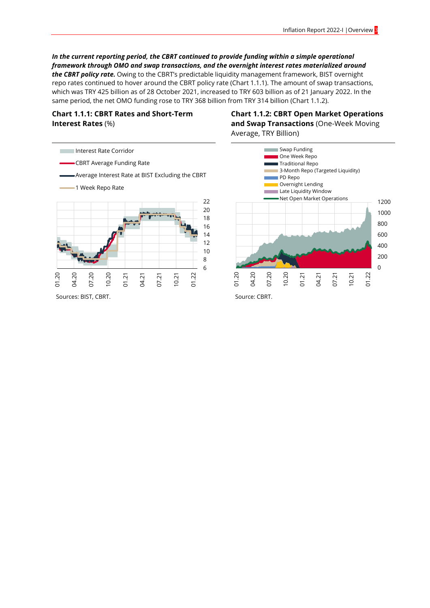#### *In the current reporting period, the CBRT continued to provide funding within a simple operational framework through OMO and swap transactions, and the overnight interest rates materialized around*

*the CBRT policy rate.* Owing to the CBRT's predictable liquidity management framework, BIST overnight repo rates continued to hover around the CBRT policy rate (Chart 1.1.1). The amount of swap transactions, which was TRY 425 billion as of 28 October 2021, increased to TRY 603 billion as of 21 January 2022. In the same period, the net OMO funding rose to TRY 368 billion from TRY 314 billion (Chart 1.1.2).

#### **Chart 1.1.1: CBRT Rates and Short-Term Interest Rates** (%)

**Chart 1.1.2: CBRT Open Market Operations and Swap Transactions** (One-Week Moving Average, TRY Billion)



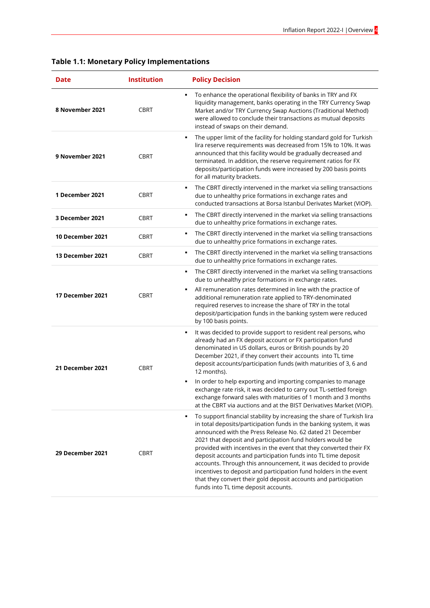| Date             | <b>Institution</b> | <b>Policy Decision</b>                                                                                                                                                                                                                                                                                                                                                                                                                                                                                                                                                                                                                                                |
|------------------|--------------------|-----------------------------------------------------------------------------------------------------------------------------------------------------------------------------------------------------------------------------------------------------------------------------------------------------------------------------------------------------------------------------------------------------------------------------------------------------------------------------------------------------------------------------------------------------------------------------------------------------------------------------------------------------------------------|
| 8 November 2021  | <b>CBRT</b>        | To enhance the operational flexibility of banks in TRY and FX<br>٠<br>liquidity management, banks operating in the TRY Currency Swap<br>Market and/or TRY Currency Swap Auctions (Traditional Method)<br>were allowed to conclude their transactions as mutual deposits<br>instead of swaps on their demand.                                                                                                                                                                                                                                                                                                                                                          |
| 9 November 2021  | <b>CBRT</b>        | The upper limit of the facility for holding standard gold for Turkish<br>lira reserve requirements was decreased from 15% to 10%. It was<br>announced that this facility would be gradually decreased and<br>terminated. In addition, the reserve requirement ratios for FX<br>deposits/participation funds were increased by 200 basis points<br>for all maturity brackets.                                                                                                                                                                                                                                                                                          |
| 1 December 2021  | <b>CBRT</b>        | The CBRT directly intervened in the market via selling transactions<br>due to unhealthy price formations in exchange rates and<br>conducted transactions at Borsa Istanbul Derivates Market (VIOP).                                                                                                                                                                                                                                                                                                                                                                                                                                                                   |
| 3 December 2021  | <b>CBRT</b>        | The CBRT directly intervened in the market via selling transactions<br>٠<br>due to unhealthy price formations in exchange rates.                                                                                                                                                                                                                                                                                                                                                                                                                                                                                                                                      |
| 10 December 2021 | <b>CBRT</b>        | The CBRT directly intervened in the market via selling transactions<br>٠<br>due to unhealthy price formations in exchange rates.                                                                                                                                                                                                                                                                                                                                                                                                                                                                                                                                      |
| 13 December 2021 | <b>CBRT</b>        | The CBRT directly intervened in the market via selling transactions<br>٠<br>due to unhealthy price formations in exchange rates.                                                                                                                                                                                                                                                                                                                                                                                                                                                                                                                                      |
| 17 December 2021 | <b>CBRT</b>        | The CBRT directly intervened in the market via selling transactions<br>٠<br>due to unhealthy price formations in exchange rates.<br>All remuneration rates determined in line with the practice of<br>٠<br>additional remuneration rate applied to TRY-denominated<br>required reserves to increase the share of TRY in the total<br>deposit/participation funds in the banking system were reduced<br>by 100 basis points.                                                                                                                                                                                                                                           |
| 21 December 2021 | <b>CBRT</b>        | It was decided to provide support to resident real persons, who<br>٠<br>already had an FX deposit account or FX participation fund<br>denominated in US dollars, euros or British pounds by 20<br>December 2021, if they convert their accounts into TL time<br>deposit accounts/participation funds (with maturities of 3, 6 and<br>12 months).<br>In order to help exporting and importing companies to manage<br>٠<br>exchange rate risk, it was decided to carry out TL-settled foreign<br>exchange forward sales with maturities of 1 month and 3 months<br>at the CBRT via auctions and at the BIST Derivatives Market (VIOP).                                  |
| 29 December 2021 | <b>CBRT</b>        | To support financial stability by increasing the share of Turkish lira<br>٠<br>in total deposits/participation funds in the banking system, it was<br>announced with the Press Release No. 62 dated 21 December<br>2021 that deposit and participation fund holders would be<br>provided with incentives in the event that they converted their FX<br>deposit accounts and participation funds into TL time deposit<br>accounts. Through this announcement, it was decided to provide<br>incentives to deposit and participation fund holders in the event<br>that they convert their gold deposit accounts and participation<br>funds into TL time deposit accounts. |

## **Table 1.1: Monetary Policy Implementations**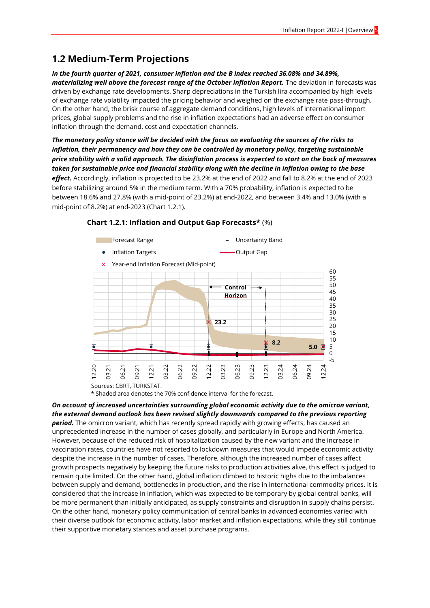## **1.2 Medium-Term Projections**

*In the fourth quarter of 2021, consumer inflation and the B index reached 36.08% and 34.89%, materializing well above the forecast range of the October Inflation Report.* The deviation in forecasts was driven by exchange rate developments. Sharp depreciations in the Turkish lira accompanied by high levels of exchange rate volatility impacted the pricing behavior and weighed on the exchange rate pass-through. On the other hand, the brisk course of aggregate demand conditions, high levels of international import prices, global supply problems and the rise in inflation expectations had an adverse effect on consumer inflation through the demand, cost and expectation channels.

*The monetary policy stance will be decided with the focus on evaluating the sources of the risks to inflation, their permanency and how they can be controlled by monetary policy, targeting sustainable price stability with a solid approach. The disinflation process is expected to start on the back of measures taken for sustainable price and financial stability along with the decline in inflation owing to the base effect.* Accordingly, inflation is projected to be 23.2% at the end of 2022 and fall to 8.2% at the end of 2023 before stabilizing around 5% in the medium term. With a 70% probability, inflation is expected to be between 18.6% and 27.8% (with a mid-point of 23.2%) at end-2022, and between 3.4% and 13.0% (with a mid-point of 8.2%) at end-2023 (Chart 1.2.1).



#### **Chart 1.2.1: Inflation and Output Gap Forecasts\*** (%)

Sources: CBRT, TURKSTAT.

\* Shaded area denotes the 70% confidence interval for the forecast.

*On account of increased uncertainties surrounding global economic activity due to the omicron variant, the external demand outlook has been revised slightly downwards compared to the previous reporting period.* The omicron variant, which has recently spread rapidly with growing effects, has caused an unprecedented increase in the number of cases globally, and particularly in Europe and North America. However, because of the reduced risk of hospitalization caused by the new variant and the increase in vaccination rates, countries have not resorted to lockdown measures that would impede economic activity despite the increase in the number of cases. Therefore, although the increased number of cases affect growth prospects negatively by keeping the future risks to production activities alive, this effect is judged to remain quite limited. On the other hand, global inflation climbed to historic highs due to the imbalances between supply and demand, bottlenecks in production, and the rise in international commodity prices. It is considered that the increase in inflation, which was expected to be temporary by global central banks, will be more permanent than initially anticipated, as supply constraints and disruption in supply chains persist. On the other hand, monetary policy communication of central banks in advanced economies varied with their diverse outlook for economic activity, labor market and inflation expectations, while they still continue their supportive monetary stances and asset purchase programs.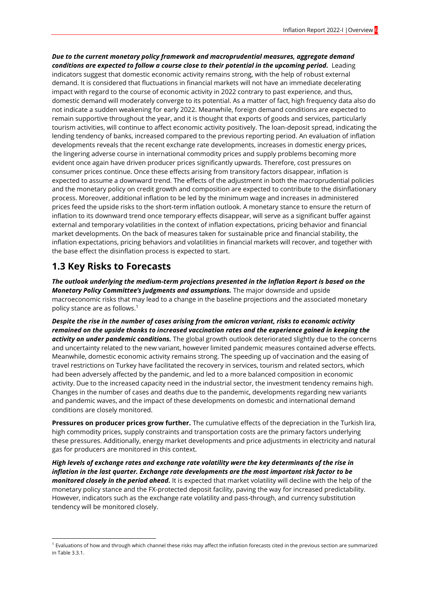*Due to the current monetary policy framework and macroprudential measures, aggregate demand conditions are expected to follow a course close to their potential in the upcoming period.* Leading indicators suggest that domestic economic activity remains strong, with the help of robust external demand. It is considered that fluctuations in financial markets will not have an immediate decelerating impact with regard to the course of economic activity in 2022 contrary to past experience, and thus, domestic demand will moderately converge to its potential. As a matter of fact, high frequency data also do not indicate a sudden weakening for early 2022. Meanwhile, foreign demand conditions are expected to remain supportive throughout the year, and it is thought that exports of goods and services, particularly tourism activities, will continue to affect economic activity positively. The loan-deposit spread, indicating the lending tendency of banks, increased compared to the previous reporting period. An evaluation of inflation developments reveals that the recent exchange rate developments, increases in domestic energy prices, the lingering adverse course in international commodity prices and supply problems becoming more evident once again have driven producer prices significantly upwards. Therefore, cost pressures on consumer prices continue. Once these effects arising from transitory factors disappear, inflation is expected to assume a downward trend. The effects of the adjustment in both the macroprudential policies and the monetary policy on credit growth and composition are expected to contribute to the disinflationary process. Moreover, additional inflation to be led by the minimum wage and increases in administered prices feed the upside risks to the short-term inflation outlook. A monetary stance to ensure the return of inflation to its downward trend once temporary effects disappear, will serve as a significant buffer against external and temporary volatilities in the context of inflation expectations, pricing behavior and financial market developments. On the back of measures taken for sustainable price and financial stability, the inflation expectations, pricing behaviors and volatilities in financial markets will recover, and together with the base effect the disinflation process is expected to start.

### **1.3 Key Risks to Forecasts**

-

*The outlook underlying the medium-term projections presented in the Inflation Report is based on the Monetary Policy Committee's judgments and assumptions.* The major downside and upside macroeconomic risks that may lead to a change in the baseline projections and the associated monetary policy stance are as follows.<sup>1</sup>

*Despite the rise in the number of cases arising from the omicron variant, risks to economic activity remained on the upside thanks to increased vaccination rates and the experience gained in keeping the activity on under pandemic conditions.* The global growth outlook deteriorated slightly due to the concerns and uncertainty related to the new variant, however limited pandemic measures contained adverse effects. Meanwhile, domestic economic activity remains strong. The speeding up of vaccination and the easing of travel restrictions on Turkey have facilitated the recovery in services, tourism and related sectors, which had been adversely affected by the pandemic, and led to a more balanced composition in economic activity. Due to the increased capacity need in the industrial sector, the investment tendency remains high. Changes in the number of cases and deaths due to the pandemic, developments regarding new variants and pandemic waves, and the impact of these developments on domestic and international demand conditions are closely monitored.

**Pressures on producer prices grow further.** The cumulative effects of the depreciation in the Turkish lira, high commodity prices, supply constraints and transportation costs are the primary factors underlying these pressures. Additionally, energy market developments and price adjustments in electricity and natural gas for producers are monitored in this context.

*High levels of exchange rates and exchange rate volatility were the key determinants of the rise in inflation in the last quarter. Exchange rate developments are the most important risk factor to be monitored closely in the period ahead.* It is expected that market volatility will decline with the help of the monetary policy stance and the FX-protected deposit facility, paving the way for increased predictability. However, indicators such as the exchange rate volatility and pass-through, and currency substitution tendency will be monitored closely.

<sup>&</sup>lt;sup>1</sup> Evaluations of how and through which channel these risks may affect the inflation forecasts cited in the previous section are summarized in Table 3.3.1.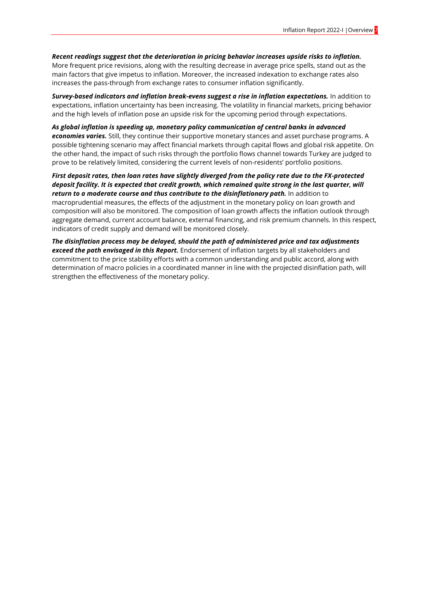*Recent readings suggest that the deterioration in pricing behavior increases upside risks to inflation.*  More frequent price revisions, along with the resulting decrease in average price spells, stand out as the main factors that give impetus to inflation. Moreover, the increased indexation to exchange rates also increases the pass-through from exchange rates to consumer inflation significantly.

*Survey-based indicators and inflation break-evens suggest a rise in inflation expectations.* In addition to expectations, inflation uncertainty has been increasing. The volatility in financial markets, pricing behavior and the high levels of inflation pose an upside risk for the upcoming period through expectations.

*As global inflation is speeding up, monetary policy communication of central banks in advanced economies varies.* Still, they continue their supportive monetary stances and asset purchase programs. A possible tightening scenario may affect financial markets through capital flows and global risk appetite. On the other hand, the impact of such risks through the portfolio flows channel towards Turkey are judged to prove to be relatively limited, considering the current levels of non-residents' portfolio positions.

*First deposit rates, then loan rates have slightly diverged from the policy rate due to the FX-protected deposit facility. It is expected that credit growth, which remained quite strong in the last quarter, will*  return to a moderate course and thus contribute to the disinflationary path. In addition to macroprudential measures, the effects of the adjustment in the monetary policy on loan growth and composition will also be monitored. The composition of loan growth affects the inflation outlook through aggregate demand, current account balance, external financing, and risk premium channels. In this respect, indicators of credit supply and demand will be monitored closely.

*The disinflation process may be delayed, should the path of administered price and tax adjustments exceed the path envisaged in this Report.* Endorsement of inflation targets by all stakeholders and commitment to the price stability efforts with a common understanding and public accord, along with determination of macro policies in a coordinated manner in line with the projected disinflation path, will strengthen the effectiveness of the monetary policy.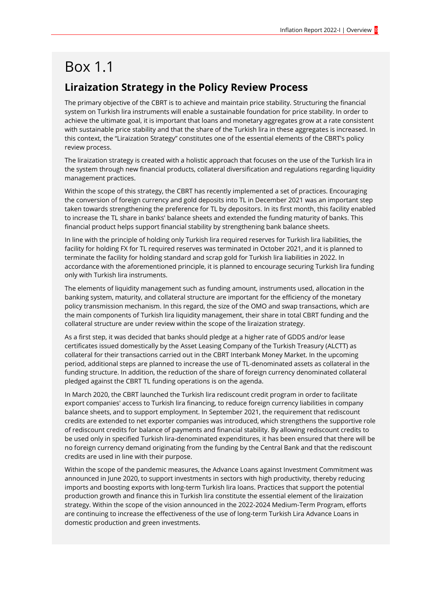# Box 1.1

## **Liraization Strategy in the Policy Review Process**

The primary objective of the CBRT is to achieve and maintain price stability. Structuring the financial system on Turkish lira instruments will enable a sustainable foundation for price stability. In order to achieve the ultimate goal, it is important that loans and monetary aggregates grow at a rate consistent with sustainable price stability and that the share of the Turkish lira in these aggregates is increased. In this context, the "Liraization Strategy" constitutes one of the essential elements of the CBRT's policy review process.

The liraization strategy is created with a holistic approach that focuses on the use of the Turkish lira in the system through new financial products, collateral diversification and regulations regarding liquidity management practices.

Within the scope of this strategy, the CBRT has recently implemented a set of practices. Encouraging the conversion of foreign currency and gold deposits into TL in December 2021 was an important step taken towards strengthening the preference for TL by depositors. In its first month, this facility enabled to increase the TL share in banks' balance sheets and extended the funding maturity of banks. This financial product helps support financial stability by strengthening bank balance sheets.

In line with the principle of holding only Turkish lira required reserves for Turkish lira liabilities, the facility for holding FX for TL required reserves was terminated in October 2021, and it is planned to terminate the facility for holding standard and scrap gold for Turkish lira liabilities in 2022. In accordance with the aforementioned principle, it is planned to encourage securing Turkish lira funding only with Turkish lira instruments.

The elements of liquidity management such as funding amount, instruments used, allocation in the banking system, maturity, and collateral structure are important for the efficiency of the monetary policy transmission mechanism. In this regard, the size of the OMO and swap transactions, which are the main components of Turkish lira liquidity management, their share in total CBRT funding and the collateral structure are under review within the scope of the liraization strategy.

As a first step, it was decided that banks should pledge at a higher rate of GDDS and/or lease certificates issued domestically by the Asset Leasing Company of the Turkish Treasury (ALCTT) as collateral for their transactions carried out in the CBRT Interbank Money Market. In the upcoming period, additional steps are planned to increase the use of TL-denominated assets as collateral in the funding structure. In addition, the reduction of the share of foreign currency denominated collateral pledged against the CBRT TL funding operations is on the agenda.

In March 2020, the CBRT launched the Turkish lira rediscount credit program in order to facilitate export companies' access to Turkish lira financing, to reduce foreign currency liabilities in company balance sheets, and to support employment. In September 2021, the requirement that rediscount credits are extended to net exporter companies was introduced, which strengthens the supportive role of rediscount credits for balance of payments and financial stability. By allowing rediscount credits to be used only in specified Turkish lira-denominated expenditures, it has been ensured that there will be no foreign currency demand originating from the funding by the Central Bank and that the rediscount credits are used in line with their purpose.

Within the scope of the pandemic measures, the Advance Loans against Investment Commitment was announced in June 2020, to support investments in sectors with high productivity, thereby reducing imports and boosting exports with long-term Turkish lira loans. Practices that support the potential production growth and finance this in Turkish lira constitute the essential element of the liraization strategy. Within the scope of the vision announced in the 2022-2024 Medium-Term Program, efforts are continuing to increase the effectiveness of the use of long-term Turkish Lira Advance Loans in domestic production and green investments.